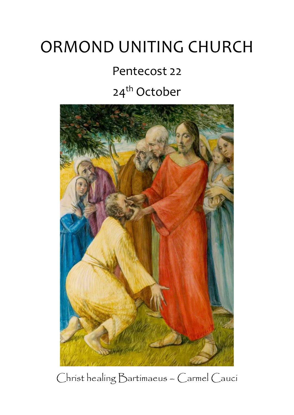## ORMOND UNITING CHURCH

# Pentecost 22

### 24<sup>th</sup> October



Christ healing Bartimaeus – Carmel Cauci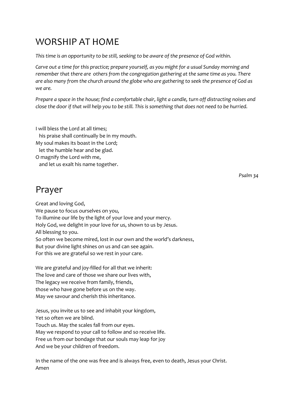#### WORSHIP AT HOME

*This time is an opportunity to be still, seeking to be aware of the presence of God within.*

*Carve out a time for this practice; prepare yourself, as you might for a usual Sunday morning and remember that there are others from the congregation gathering at the same time as you. There are also many from the church around the globe who are gathering to seek the presence of God as we are.*

*Prepare a space in the house; find a comfortable chair, light a candle, turn off distracting noises and close the door if that will help you to be still. This is something that does not need to be hurried.*

I will bless the Lord at all times; his praise shall continually be in my mouth. My soul makes its boast in the Lord; let the humble hear and be glad. O magnify the Lord with me, and let us exalt his name together.

*Psalm 34*

#### Prayer

Great and loving God, We pause to focus ourselves on you, To illumine our life by the light of your love and your mercy. Holy God, we delight in your love for us, shown to us by Jesus. All blessing to you. So often we become mired, lost in our own and the world's darkness, But your divine light shines on us and can see again. For this we are grateful so we rest in your care.

We are grateful and joy-filled for all that we inherit: The love and care of those we share our lives with, The legacy we receive from family, friends, those who have gone before us on the way. May we savour and cherish this inheritance.

Jesus, you invite us to see and inhabit your kingdom, Yet so often we are blind. Touch us. May the scales fall from our eyes. May we respond to your call to follow and so receive life. Free us from our bondage that our souls may leap for joy And we be your children of freedom.

In the name of the one was free and is always free, even to death, Jesus your Christ. Amen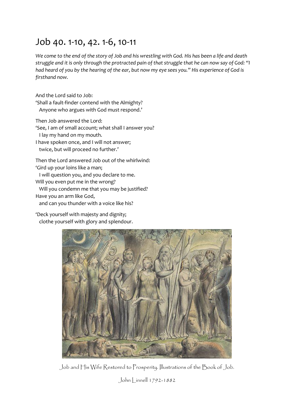#### Job 40. 1-10, 42. 1-6, 10-11

*We come to the end of the story of Job and his wrestling with God. His has been a life and death struggle and it is only through the protracted pain of that struggle that he can now say of God: "I had heard of you by the hearing of the ear, but now my eye sees you." His experience of God is firsthand now.*

And the Lord said to Job: 'Shall a fault-finder contend with the Almighty? Anyone who argues with God must respond.'

Then Job answered the Lord:

'See, I am of small account; what shall I answer you?

I lay my hand on my mouth.

I have spoken once, and I will not answer; twice, but will proceed no further.'

Then the Lord answered Job out of the whirlwind: 'Gird up your loins like a man;

I will question you, and you declare to me.

Will you even put me in the wrong?

Will you condemn me that you may be justified?

Have you an arm like God,

and can you thunder with a voice like his?

'Deck yourself with majesty and dignity; clothe yourself with glory and splendour.



Job and His Wife Restored to Prosperity. Illustrations of the Book of Job.

John | innell 1792-1882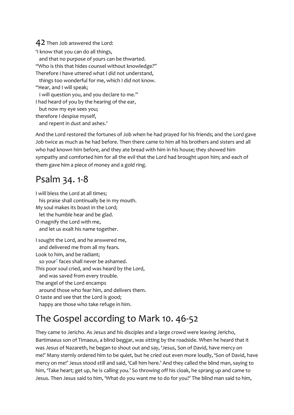#### 42 Then Job answered the Lord:

'I know that you can do all things, and that no purpose of yours can be thwarted. "Who is this that hides counsel without knowledge?" Therefore I have uttered what I did not understand, things too wonderful for me, which I did not know. "Hear, and I will speak; I will question you, and you declare to me." I had heard of you by the hearing of the ear, but now my eye sees you; therefore I despise myself, and repent in dust and ashes.'

And the Lord restored the fortunes of Job when he had prayed for his friends; and the Lord gave Job twice as much as he had before. Then there came to him all his brothers and sisters and all who had known him before, and they ate bread with him in his house; they showed him sympathy and comforted him for all the evil that the Lord had brought upon him; and each of them gave him a piece of money and a gold ring.

#### Psalm 34. 1-8

I will bless the Lord at all times; his praise shall continually be in my mouth. My soul makes its boast in the Lord; let the humble hear and be glad. O magnify the Lord with me, and let us exalt his name together. I sought the Lord, and he answered me,

and delivered me from all my fears.

Look to him, and be radiant;

so you[r](javascript:void(0);)<sup>\*</sup> faces shall never be ashamed.

This poor soul cried, and was heard by the Lord,

and was saved from every trouble.

The angel of the Lord encamps

around those who fear him, and delivers them.

O taste and see that the Lord is good;

happy are those who take refuge in him.

#### The Gospel according to Mark 10. 46-52

They came to Jericho. As Jesus and his disciples and a large crowd were leaving Jericho, Bartimaeus son of Timaeus, a blind beggar, was sitting by the roadside. When he heard that it was Jesus of Nazareth, he began to shout out and say, 'Jesus, Son of David, have mercy on me!' Many sternly ordered him to be quiet, but he cried out even more loudly, 'Son of David, have mercy on me!' Jesus stood still and said, 'Call him here.' And they called the blind man, saying to him, 'Take heart; get up, he is calling you.' So throwing off his cloak, he sprang up and came to Jesus. Then Jesus said to him, 'What do you want me to do for you?' The blind man said to him,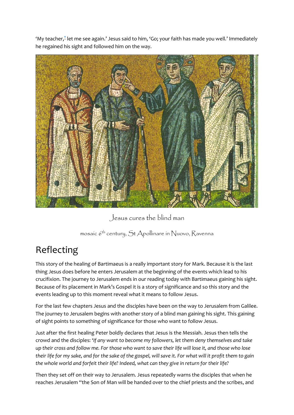'My teacher,[\\*](javascript:void(0);) let me see again.' Jesus said to him, 'Go; your faith has made you well.' Immediately he regained his sight and followed him on the way.



Jesus cures the blind man

mosaic 6<sup>th</sup> century, St Apollinare in Nuovo, Ravenna

#### Reflecting

This story of the healing of Bartimaeus is a really important story for Mark. Because it is the last thing Jesus does before he enters Jerusalem at the beginning of the events which lead to his crucifixion. The journey to Jerusalem ends in our reading today with Bartimaeus gaining his sight. Because of its placement in Mark's Gospel it is a story of significance and so this story and the events leading up to this moment reveal what it means to follow Jesus.

For the last few chapters Jesus and the disciples have been on the way to Jerusalem from Galilee. The journey to Jerusalem begins with another story of a blind man gaining his sight. This gaining of sight points to something of significance for those who want to follow Jesus.

Just after the first healing Peter boldly declares that Jesus is the Messiah. Jesus then tells the crowd and the disciples: '*If any want to become my followers, let them deny themselves and take up their cross and follow me. For those who want to save their life will lose it, and those who lose their life for my sake, and for the sake of the gospel, will save it. For what will it profit them to gain the whole world and forfeit their life? Indeed, what can they give in return for their life?*

Then they set off on their way to Jerusalem. Jesus repeatedly warns the disciples that when he reaches Jerusalem "the Son of Man will be handed over to the chief priests and the scribes, and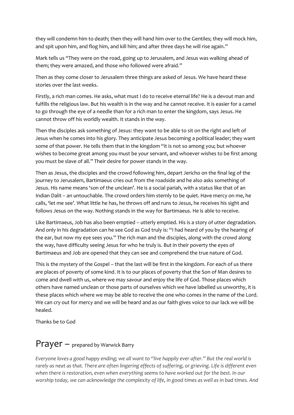they will condemn him to death; then they will hand him over to the Gentiles; they will mock him, and spit upon him, and flog him, and kill him; and after three days he will rise again."

Mark tells us "They were on the road, going up to Jerusalem, and Jesus was walking ahead of them; they were amazed, and those who followed were afraid."

Then as they come closer to Jerusalem three things are asked of Jesus. We have heard these stories over the last weeks.

Firstly, a rich man comes. He asks, what must I do to receive eternal life? He is a devout man and fulfills the religious law. But his wealth is in the way and he cannot receive. It is easier for a camel to go through the eye of a needle than for a rich man to enter the kingdom, says Jesus. He cannot throw off his worldly wealth. It stands in the way.

Then the disciples ask something of Jesus: they want to be able to sit on the right and left of Jesus when he comes into his glory. They anticipate Jesus becoming a political leader; they want some of that power. He tells them that in the kingdom "it is not so among you; but whoever wishes to become great among you must be your servant, and whoever wishes to be first among you must be slave of all." Their desire for power stands in the way.

Then as Jesus, the disciples and the crowd following him, depart Jericho on the final leg of the journey to Jerusalem, Bartimaeus cries out from the roadside and he also asks something of Jesus. His name means 'son of the unclean'. He is a social pariah, with a status like that of an Indian Dalit – an untouchable. The crowd orders him sternly to be quiet. Have mercy on me, he calls, 'let me see'. What little he has, he throws off and runs to Jesus, he receives his sight and follows Jesus on the way. Nothing stands in the way for Bartimaeus. He is able to receive.

Like Bartimaeus, Job has also been emptied – utterly emptied. His is a story of utter degradation. And only in his degradation can he see God as God truly is: "I had heard of you by the hearing of the ear, but now my eye sees you." The rich man and the disciples, along with the crowd along the way, have difficulty seeing Jesus for who he truly is. But in their poverty the eyes of Bartimaeus and Job are opened that they can see and comprehend the true nature of God.

This is the mystery of the Gospel – that the last will be first in the kingdom. For each of us there are places of poverty of some kind. It is to our places of poverty that the Son of Man desires to come and dwell with us, where we may savour and enjoy the life of God. Those places which others have named unclean or those parts of ourselves which we have labelled us unworthy, it is these places which where we may be able to receive the one who comes in the name of the Lord. We can cry out for mercy and we will be heard and as our faith gives voice to our lack we will be healed.

Thanks be to God

#### Prayer – prepared by Warwick Barry

*Everyone loves a good happy ending; we all want to "live happily ever after." But the real world is rarely as neat as that. There are often lingering effects of suffering, or grieving. Life is different even when there is restoration, even when everything seems to have worked out for the best. In our worship today, we can acknowledge the complexity of life, in good times as well as in bad times. And*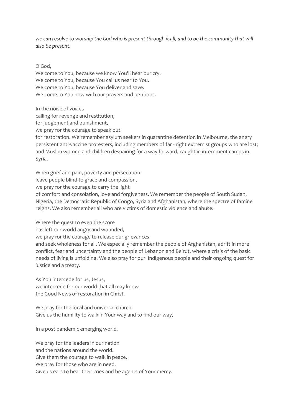*we can resolve to worship the God who is present through it all, and to be the community that will also be present.*

O God,

We come to You, because we know You'll hear our cry. We come to You, because You call us near to You. We come to You, because You deliver and save. We come to You now with our prayers and petitions.

In the noise of voices

calling for revenge and restitution,

for judgement and punishment,

we pray for the courage to speak out

for restoration. We remember asylum seekers in quarantine detention in Melbourne, the angry persistent anti-vaccine protesters, including members of far - right extremist groups who are lost; and Muslim women and children despairing for a way forward, caught in internment camps in Syria.

When grief and pain, poverty and persecution leave people blind to grace and compassion, we pray for the courage to carry the light of comfort and consolation, love and forgiveness. We remember the people of South Sudan, Nigeria, the Democratic Republic of Congo, Syria and Afghanistan, where the spectre of famine reigns. We also remember all who are victims of domestic violence and abuse.

Where the quest to even the score has left our world angry and wounded, we pray for the courage to release our grievances and seek wholeness for all. We especially remember the people of Afghanistan, adrift in more conflict, fear and uncertainty and the people of Lebanon and Beirut, where a crisis of the basic needs of living is unfolding. We also pray for our Indigenous people and their ongoing quest for justice and a treaty.

As You intercede for us, Jesus, we intercede for our world that all may know the Good News of restoration in Christ.

We pray for the local and universal church. Give us the humility to walk in Your way and to find our way,

In a post pandemic emerging world.

We pray for the leaders in our nation

and the nations around the world.

Give them the courage to walk in peace.

We pray for those who are in need.

Give us ears to hear their cries and be agents of Your mercy.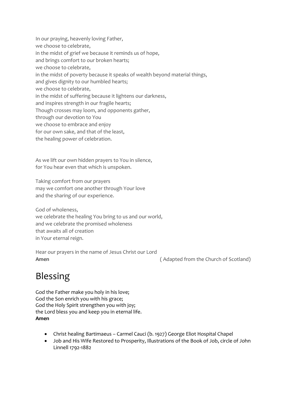- In our praying, heavenly loving Father, we choose to celebrate, in the midst of grief we because it reminds us of hope, and brings comfort to our broken hearts; we choose to celebrate, in the midst of poverty because it speaks of wealth beyond material things, and gives dignity to our humbled hearts; we choose to celebrate, in the midst of suffering because it lightens our darkness, and inspires strength in our fragile hearts; Though crosses may loom, and opponents gather, through our devotion to You we choose to embrace and enjoy for our own sake, and that of the least,
- the healing power of celebration.

As we lift our own hidden prayers to You in silence, for You hear even that which is unspoken.

Taking comfort from our prayers

may we comfort one another through Your love and the sharing of our experience.

God of wholeness, we celebrate the healing You bring to us and our world, and we celebrate the promised wholeness that awaits all of creation in Your eternal reign.

Hear our prayers in the name of Jesus Christ our Lord **Amen** (Adapted from the Church of Scotland)

#### Blessing

God the Father make you holy in his love; God the Son enrich you with his grace; God the Holy Spirit strengthen you with joy; the Lord bless you and keep you in eternal life. **Amen**

- Christ healing Bartimaeus Carmel Cauci (b. 1927) George Eliot Hospital Chapel
- Job and His Wife Restored to Prosperity, Illustrations of the Book of Job, circle of John Linnell 1792-1882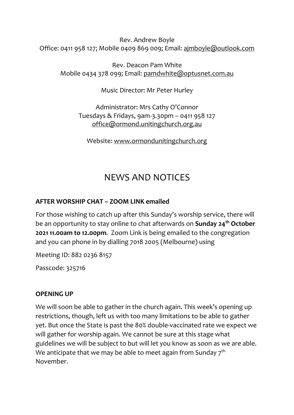Rev. Andrew Boyle Office: 0411 958 127; Mobile 0409 869 009; Email: [ajmboyle@outlook.com](mailto:ajmboyle@outlook.com)

Rev. Deacon Pam White Mobile 0434 378 099; Email: [pamdwhite@optusnet.com.au](mailto:pamdwhite@optusnet.com.au)

Music Director: Mr Peter Hurley

Administrator: Mrs Cathy O'Connor Tuesdays & Fridays, 9am-3.30pm – 0411 958 127 [office@ormond.unitingchurch.org.au](mailto:office@ormond.unitingchurch.org.au)

Website: [www.ormondunitingchurch.org](http://www.ormondunitingchurch.org/)

#### NEWS AND NOTICES

#### **AFTER WORSHIP CHAT – ZOOM LINK emailed**

For those wishing to catch up after this Sunday's worship service, there will be an opportunity to stay online to chat afterwards on **Sunday 24th October 2021 11.00am to 12.00pm**. Zoom Link is being emailed to the congregation and you can phone in by dialling 7018 2005 (Melbourne) using

Meeting ID: 882 0236 8157

Passcode: 325716

#### **OPENING UP**

We will soon be able to gather in the church again. This week's opening up restrictions, though, left us with too many limitations to be able to gather yet. But once the State is past the 80% double-vaccinated rate we expect we will gather for worship again. We cannot be sure at this stage what guidelines we will be subject to but will let you know as soon as we are able. We anticipate that we may be able to meet again from Sunday  $7<sup>th</sup>$ November.